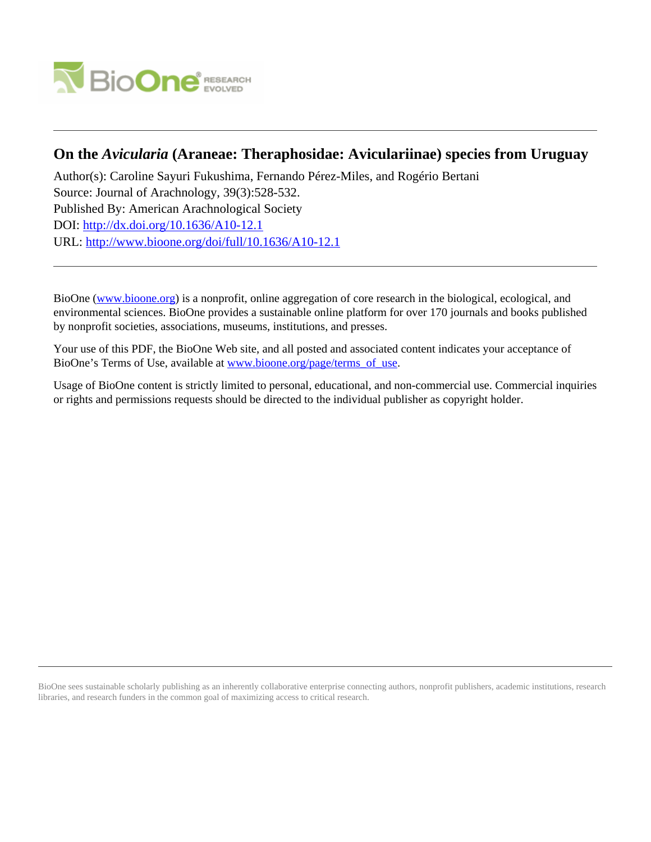

# **On the** *Avicularia* **(Araneae: Theraphosidae: Aviculariinae) species from Uruguay**

Author(s): Caroline Sayuri Fukushima, Fernando Pérez-Miles, and Rogério Bertani Source: Journal of Arachnology, 39(3):528-532. Published By: American Arachnological Society DOI:<http://dx.doi.org/10.1636/A10-12.1> URL: <http://www.bioone.org/doi/full/10.1636/A10-12.1>

BioOne [\(www.bioone.org\)](http://www.bioone.org) is a nonprofit, online aggregation of core research in the biological, ecological, and environmental sciences. BioOne provides a sustainable online platform for over 170 journals and books published by nonprofit societies, associations, museums, institutions, and presses.

Your use of this PDF, the BioOne Web site, and all posted and associated content indicates your acceptance of BioOne's Terms of Use, available at [www.bioone.org/page/terms\\_of\\_use.](http://www.bioone.org/page/terms_of_use)

Usage of BioOne content is strictly limited to personal, educational, and non-commercial use. Commercial inquiries or rights and permissions requests should be directed to the individual publisher as copyright holder.

BioOne sees sustainable scholarly publishing as an inherently collaborative enterprise connecting authors, nonprofit publishers, academic institutions, research libraries, and research funders in the common goal of maximizing access to critical research.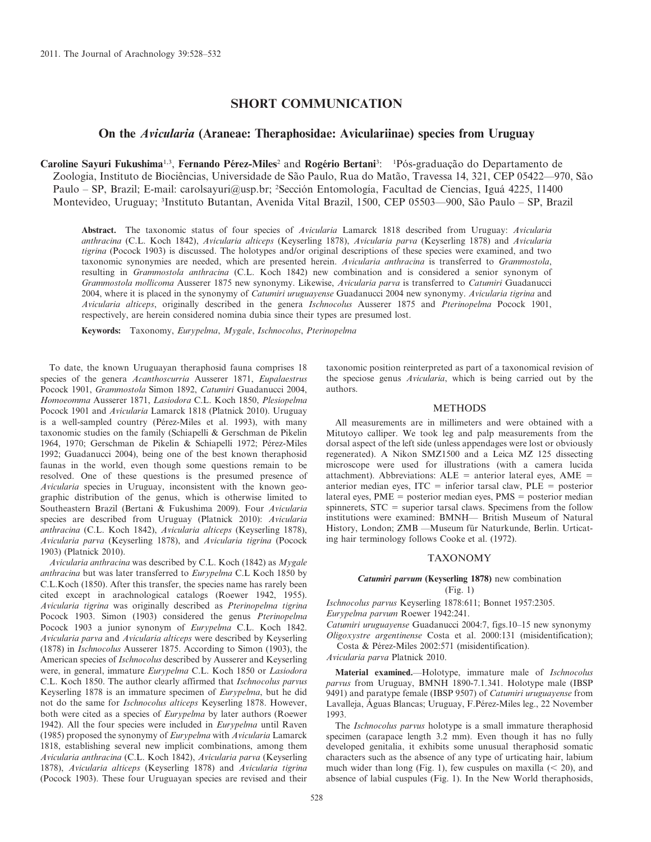# SHORT COMMUNICATION

## On the Avicularia (Araneae: Theraphosidae: Aviculariinae) species from Uruguay

Caroline Sayuri Fukushima<sup>1,3</sup>, Fernando Pérez-Miles<sup>2</sup> and Rogério Bertani<sup>3</sup>: <sup>1</sup>Pós-graduação do Departamento de Zoologia, Instituto de Biociências, Universidade de São Paulo, Rua do Matão, Travessa 14, 321, CEP 05422—970, São Paulo – SP, Brazil; E-mail: carolsayuri@usp.br; <sup>2</sup>Sección Entomología, Facultad de Ciencias, Iguá 4225, 11400 Montevideo, Uruguay; <sup>3</sup>Instituto Butantan, Avenida Vital Brazil, 1500, CEP 05503—900, São Paulo – SP, Brazil

Abstract. The taxonomic status of four species of Avicularia Lamarck 1818 described from Uruguay: Avicularia anthracina (C.L. Koch 1842), Avicularia alticeps (Keyserling 1878), Avicularia parva (Keyserling 1878) and Avicularia tigrina (Pocock 1903) is discussed. The holotypes and/or original descriptions of these species were examined, and two taxonomic synonymies are needed, which are presented herein. Avicularia anthracina is transferred to Grammostola, resulting in Grammostola anthracina (C.L. Koch 1842) new combination and is considered a senior synonym of Grammostola mollicoma Ausserer 1875 new synonymy. Likewise, Avicularia parva is transferred to Catumiri Guadanucci 2004, where it is placed in the synonymy of Catumiri uruguayense Guadanucci 2004 new synonymy. Avicularia tigrina and Avicularia alticeps, originally described in the genera Ischnocolus Ausserer 1875 and Pterinopelma Pocock 1901, respectively, are herein considered nomina dubia since their types are presumed lost.

Keywords: Taxonomy, Eurypelma, Mygale, Ischnocolus, Pterinopelma

To date, the known Uruguayan theraphosid fauna comprises 18 species of the genera Acanthoscurria Ausserer 1871, Eupalaestrus Pocock 1901, Grammostola Simon 1892, Catumiri Guadanucci 2004, Homoeomma Ausserer 1871, Lasiodora C.L. Koch 1850, Plesiopelma Pocock 1901 and Avicularia Lamarck 1818 (Platnick 2010). Uruguay is a well-sampled country (Pérez-Miles et al. 1993), with many taxonomic studies on the family (Schiapelli & Gerschman de Pikelin 1964, 1970; Gerschman de Pikelin & Schiapelli 1972; Pérez-Miles 1992; Guadanucci 2004), being one of the best known theraphosid faunas in the world, even though some questions remain to be resolved. One of these questions is the presumed presence of Avicularia species in Uruguay, inconsistent with the known geographic distribution of the genus, which is otherwise limited to Southeastern Brazil (Bertani & Fukushima 2009). Four Avicularia species are described from Uruguay (Platnick 2010): Avicularia anthracina (C.L. Koch 1842), Avicularia alticeps (Keyserling 1878), Avicularia parva (Keyserling 1878), and Avicularia tigrina (Pocock 1903) (Platnick 2010).

Avicularia anthracina was described by C.L. Koch (1842) as Mygale anthracina but was later transferred to Eurypelma C.L Koch 1850 by C.L.Koch (1850). After this transfer, the species name has rarely been cited except in arachnological catalogs (Roewer 1942, 1955). Avicularia tigrina was originally described as Pterinopelma tigrina Pocock 1903. Simon (1903) considered the genus Pterinopelma Pocock 1903 a junior synonym of Eurypelma C.L. Koch 1842. Avicularia parva and Avicularia alticeps were described by Keyserling (1878) in Ischnocolus Ausserer 1875. According to Simon (1903), the American species of Ischnocolus described by Ausserer and Keyserling were, in general, immature Eurypelma C.L. Koch 1850 or Lasiodora C.L. Koch 1850. The author clearly affirmed that Ischnocolus parvus Keyserling 1878 is an immature specimen of Eurypelma, but he did not do the same for Ischnocolus alticeps Keyserling 1878. However, both were cited as a species of Eurypelma by later authors (Roewer 1942). All the four species were included in Eurypelma until Raven (1985) proposed the synonymy of Eurypelma with Avicularia Lamarck 1818, establishing several new implicit combinations, among them Avicularia anthracina (C.L. Koch 1842), Avicularia parva (Keyserling 1878), Avicularia alticeps (Keyserling 1878) and Avicularia tigrina (Pocock 1903). These four Uruguayan species are revised and their taxonomic position reinterpreted as part of a taxonomical revision of the speciose genus Avicularia, which is being carried out by the authors.

## METHODS

All measurements are in millimeters and were obtained with a Mitutoyo calliper. We took leg and palp measurements from the dorsal aspect of the left side (unless appendages were lost or obviously regenerated). A Nikon SMZ1500 and a Leica MZ 125 dissecting microscope were used for illustrations (with a camera lucida attachment). Abbreviations:  $ALE =$  anterior lateral eyes,  $AME =$ anterior median eyes,  $ITC =$  inferior tarsal claw,  $PLE =$  posterior lateral eyes,  $PME = posterior median$  eyes,  $PMS = posterior median$ spinnerets,  $STC = superior$  tarsal claws. Specimens from the follow institutions were examined: BMNH— British Museum of Natural History, London; ZMB - Museum für Naturkunde, Berlin. Urticating hair terminology follows Cooke et al. (1972).

#### TAXONOMY

## Catumiri parvum (Keyserling 1878) new combination (Fig. 1)

Ischnocolus parvus Keyserling 1878:611; Bonnet 1957:2305. Eurypelma parvum Roewer 1942:241.

Catumiri uruguayense Guadanucci 2004:7, figs.10–15 new synonymy

Oligoxystre argentinense Costa et al. 2000:131 (misidentification); Costa & Pérez-Miles 2002:571 (misidentification).

Avicularia parva Platnick 2010.

Material examined.—Holotype, immature male of Ischnocolus parvus from Uruguay, BMNH 1890-7.1.341. Holotype male (IBSP 9491) and paratype female (IBSP 9507) of Catumiri uruguayense from Lavalleja, Águas Blancas; Uruguay, F.Pérez-Miles leg., 22 November 1993.

The Ischnocolus parvus holotype is a small immature theraphosid specimen (carapace length 3.2 mm). Even though it has no fully developed genitalia, it exhibits some unusual theraphosid somatic characters such as the absence of any type of urticating hair, labium much wider than long (Fig. 1), few cuspules on maxilla  $(< 20$ ), and absence of labial cuspules (Fig. 1). In the New World theraphosids,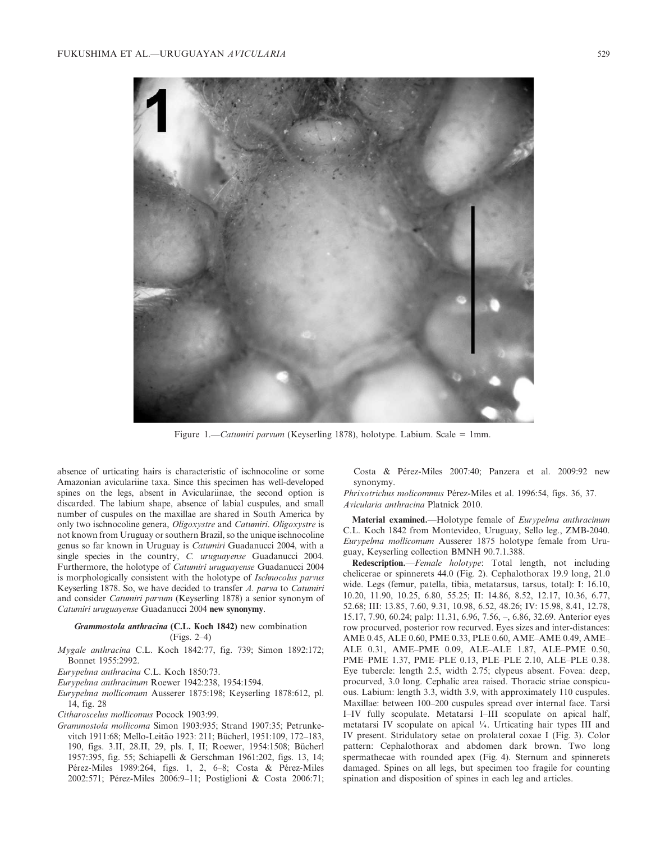

Figure 1.—Catumiri parvum (Keyserling 1878), holotype. Labium. Scale = 1mm.

absence of urticating hairs is characteristic of ischnocoline or some Amazonian aviculariine taxa. Since this specimen has well-developed spines on the legs, absent in Aviculariinae, the second option is discarded. The labium shape, absence of labial cuspules, and small number of cuspules on the maxillae are shared in South America by only two ischnocoline genera, Oligoxystre and Catumiri. Oligoxystre is not known from Uruguay or southern Brazil, so the unique ischnocoline genus so far known in Uruguay is Catumiri Guadanucci 2004, with a single species in the country, C. uruguayense Guadanucci 2004. Furthermore, the holotype of Catumiri uruguayense Guadanucci 2004 is morphologically consistent with the holotype of Ischnocolus parvus Keyserling 1878. So, we have decided to transfer A. parva to Catumiri and consider Catumiri parvum (Keyserling 1878) a senior synonym of Catumiri uruguayense Guadanucci 2004 new synonymy.

## Grammostola anthracina (C.L. Koch 1842) new combination (Figs. 2–4)

- Mygale anthracina C.L. Koch 1842:77, fig. 739; Simon 1892:172; Bonnet 1955:2992.
- Eurypelma anthracina C.L. Koch 1850:73.
- Eurypelma anthracinum Roewer 1942:238, 1954:1594.
- Eurypelma mollicomum Ausserer 1875:198; Keyserling 1878:612, pl. 14, fig. 28
- Citharoscelus mollicomus Pocock 1903:99.
- Grammostola mollicoma Simon 1903:935; Strand 1907:35; Petrunkevitch 1911:68; Mello-Leitão 1923: 211; Bücherl, 1951:109, 172-183, 190, figs. 3.II, 28.II, 29, pls. I, II; Roewer, 1954:1508; Bücherl 1957:395, fig. 55; Schiapelli & Gerschman 1961:202, figs. 13, 14; Pérez-Miles 1989:264, figs. 1, 2, 6–8; Costa & Pérez-Miles 2002:571; Pérez-Miles 2006:9-11; Postiglioni & Costa 2006:71;

Costa & Pérez-Miles 2007:40; Panzera et al. 2009:92 new synonymy.

Phrixotrichus molicommus Pérez-Miles et al. 1996:54, figs. 36, 37. Avicularia anthracina Platnick 2010.

Material examined.—Holotype female of Eurypelma anthracinum C.L. Koch 1842 from Montevideo, Uruguay, Sello leg., ZMB-2040. Eurypelma mollicomum Ausserer 1875 holotype female from Uruguay, Keyserling collection BMNH 90.7.1.388.

Redescription.—Female holotype: Total length, not including chelicerae or spinnerets 44.0 (Fig. 2). Cephalothorax 19.9 long, 21.0 wide. Legs (femur, patella, tibia, metatarsus, tarsus, total): I: 16.10, 10.20, 11.90, 10.25, 6.80, 55.25; II: 14.86, 8.52, 12.17, 10.36, 6.77, 52.68; III: 13.85, 7.60, 9.31, 10.98, 6.52, 48.26; IV: 15.98, 8.41, 12.78, 15.17, 7.90, 60.24; palp: 11.31, 6.96, 7.56, –, 6.86, 32.69. Anterior eyes row procurved, posterior row recurved. Eyes sizes and inter-distances: AME 0.45, ALE 0.60, PME 0.33, PLE 0.60, AME–AME 0.49, AME– ALE 0.31, AME–PME 0.09, ALE–ALE 1.87, ALE–PME 0.50, PME–PME 1.37, PME–PLE 0.13, PLE–PLE 2.10, ALE–PLE 0.38. Eye tubercle: length 2.5, width 2.75; clypeus absent. Fovea: deep, procurved, 3.0 long. Cephalic area raised. Thoracic striae conspicuous. Labium: length 3.3, width 3.9, with approximately 110 cuspules. Maxillae: between 100–200 cuspules spread over internal face. Tarsi I–IV fully scopulate. Metatarsi I–III scopulate on apical half, metatarsi IV scopulate on apical  $\frac{1}{4}$ . Urticating hair types III and IV present. Stridulatory setae on prolateral coxae I (Fig. 3). Color pattern: Cephalothorax and abdomen dark brown. Two long spermathecae with rounded apex (Fig. 4). Sternum and spinnerets damaged. Spines on all legs, but specimen too fragile for counting spination and disposition of spines in each leg and articles.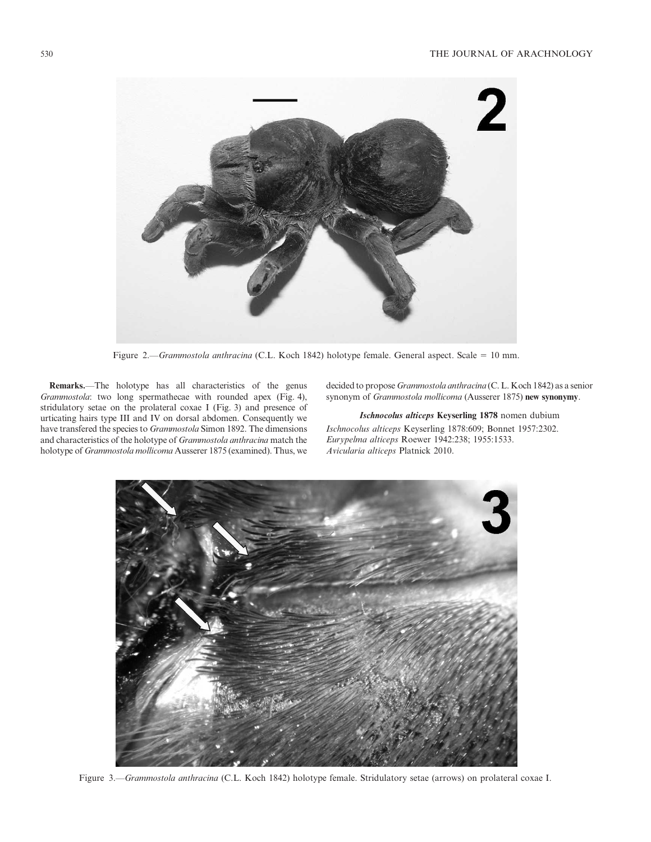

Figure 2.—Grammostola anthracina (C.L. Koch 1842) holotype female. General aspect. Scale = 10 mm.

Remarks.—The holotype has all characteristics of the genus Grammostola: two long spermathecae with rounded apex (Fig. 4), stridulatory setae on the prolateral coxae I (Fig. 3) and presence of urticating hairs type III and IV on dorsal abdomen. Consequently we have transfered the species to Grammostola Simon 1892. The dimensions and characteristics of the holotype of Grammostola anthracina match the holotype of Grammostola mollicoma Ausserer 1875 (examined). Thus, we

decided to propose Grammostola anthracina (C. L. Koch 1842) as a senior synonym of Grammostola mollicoma (Ausserer 1875) new synonymy.

Ischnocolus alticeps Keyserling 1878 nomen dubium

Ischnocolus alticeps Keyserling 1878:609; Bonnet 1957:2302. Eurypelma alticeps Roewer 1942:238; 1955:1533. Avicularia alticeps Platnick 2010.



Figure 3.—Grammostola anthracina (C.L. Koch 1842) holotype female. Stridulatory setae (arrows) on prolateral coxae I.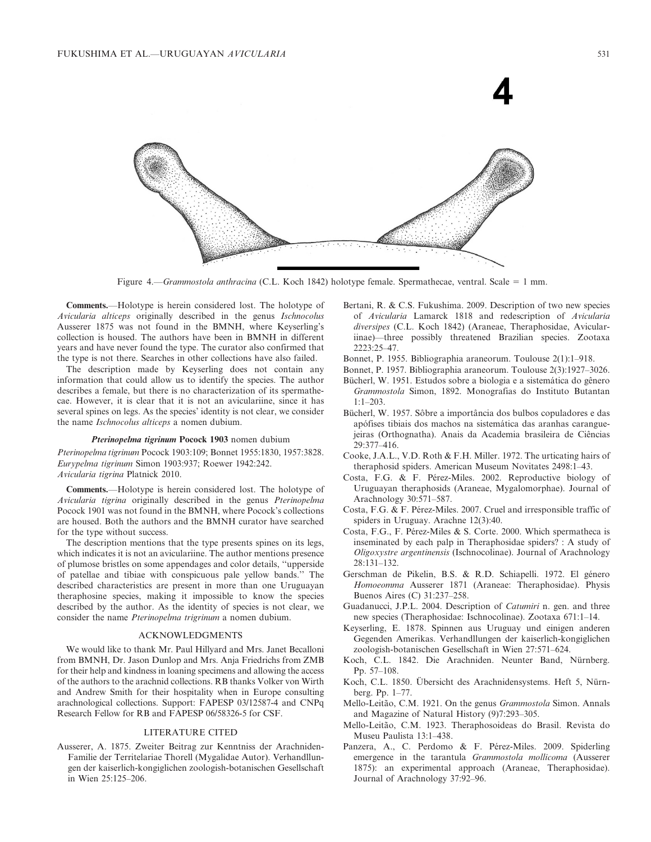

Figure 4.—Grammostola anthracina (C.L. Koch 1842) holotype female. Spermathecae, ventral. Scale = 1 mm.

Comments.—Holotype is herein considered lost. The holotype of Avicularia alticeps originally described in the genus Ischnocolus Ausserer 1875 was not found in the BMNH, where Keyserling's collection is housed. The authors have been in BMNH in different years and have never found the type. The curator also confirmed that the type is not there. Searches in other collections have also failed.

The description made by Keyserling does not contain any information that could allow us to identify the species. The author describes a female, but there is no characterization of its spermathecae. However, it is clear that it is not an aviculariine, since it has several spines on legs. As the species' identity is not clear, we consider the name Ischnocolus alticeps a nomen dubium.

### Pterinopelma tigrinum Pocock 1903 nomen dubium

Pterinopelma tigrinum Pocock 1903:109; Bonnet 1955:1830, 1957:3828. Eurypelma tigrinum Simon 1903:937; Roewer 1942:242. Avicularia tigrina Platnick 2010.

Comments.—Holotype is herein considered lost. The holotype of Avicularia tigrina originally described in the genus Pterinopelma Pocock 1901 was not found in the BMNH, where Pocock's collections are housed. Both the authors and the BMNH curator have searched for the type without success.

The description mentions that the type presents spines on its legs, which indicates it is not an aviculariine. The author mentions presence of plumose bristles on some appendages and color details, ''upperside of patellae and tibiae with conspicuous pale yellow bands.'' The described characteristics are present in more than one Uruguayan theraphosine species, making it impossible to know the species described by the author. As the identity of species is not clear, we consider the name Pterinopelma trigrinum a nomen dubium.

## ACKNOWLEDGMENTS

We would like to thank Mr. Paul Hillyard and Mrs. Janet Becalloni from BMNH, Dr. Jason Dunlop and Mrs. Anja Friedrichs from ZMB for their help and kindness in loaning specimens and allowing the access of the authors to the arachnid collections. RB thanks Volker von Wirth and Andrew Smith for their hospitality when in Europe consulting arachnological collections. Support: FAPESP 03/12587-4 and CNPq Research Fellow for RB and FAPESP 06/58326-5 for CSF.

#### LITERATURE CITED

Ausserer, A. 1875. Zweiter Beitrag zur Kenntniss der Arachniden-Familie der Territelariae Thorell (Mygalidae Autor). Verhandllungen der kaiserlich-kongiglichen zoologish-botanischen Gesellschaft in Wien 25:125–206.

Bertani, R. & C.S. Fukushima. 2009. Description of two new species of Avicularia Lamarck 1818 and redescription of Avicularia diversipes (C.L. Koch 1842) (Araneae, Theraphosidae, Aviculariinae)—three possibly threatened Brazilian species. Zootaxa 2223:25–47.

Bonnet, P. 1955. Bibliographia araneorum. Toulouse 2(1):1–918.

- Bonnet, P. 1957. Bibliographia araneorum. Toulouse 2(3):1927–3026.
- Bücherl, W. 1951. Estudos sobre a biologia e a sistemática do gênero Grammostola Simon, 1892. Monografias do Instituto Butantan 1:1–203.
- Bücherl, W. 1957. Sôbre a importância dos bulbos copuladores e das apófises tibiais dos machos na sistemática das aranhas caranguejeiras (Orthognatha). Anais da Academia brasileira de Ciências 29:377–416.
- Cooke, J.A.L., V.D. Roth & F.H. Miller. 1972. The urticating hairs of theraphosid spiders. American Museum Novitates 2498:1–43.
- Costa, F.G. & F. Pérez-Miles. 2002. Reproductive biology of Uruguayan theraphosids (Araneae, Mygalomorphae). Journal of Arachnology 30:571–587.
- Costa, F.G. & F. Pérez-Miles. 2007. Cruel and irresponsible traffic of spiders in Uruguay. Arachne 12(3):40.
- Costa, F.G., F. Pérez-Miles & S. Corte. 2000. Which spermatheca is inseminated by each palp in Theraphosidae spiders? : A study of Oligoxystre argentinensis (Ischnocolinae). Journal of Arachnology 28:131–132.
- Gerschman de Pikelin, B.S. & R.D. Schiapelli. 1972. El género Homoeomma Ausserer 1871 (Araneae: Theraphosidae). Physis Buenos Aires (C) 31:237–258.
- Guadanucci, J.P.L. 2004. Description of Catumiri n. gen. and three new species (Theraphosidae: Ischnocolinae). Zootaxa 671:1–14.
- Keyserling, E. 1878. Spinnen aus Uruguay und einigen anderen Gegenden Amerikas. Verhandllungen der kaiserlich-kongiglichen zoologish-botanischen Gesellschaft in Wien 27:571–624.
- Koch, C.L. 1842. Die Arachniden. Neunter Band, Nürnberg. Pp. 57–108.
- Koch, C.L. 1850. Übersicht des Arachnidensystems. Heft 5, Nürnberg. Pp. 1–77.
- Mello-Leitão, C.M. 1921. On the genus Grammostola Simon. Annals and Magazine of Natural History (9)7:293–305.
- Mello-Leitão, C.M. 1923. Theraphosoideas do Brasil. Revista do Museu Paulista 13:1–438.
- Panzera, A., C. Perdomo & F. Pérez-Miles. 2009. Spiderling emergence in the tarantula Grammostola mollicoma (Ausserer 1875): an experimental approach (Araneae, Theraphosidae). Journal of Arachnology 37:92–96.